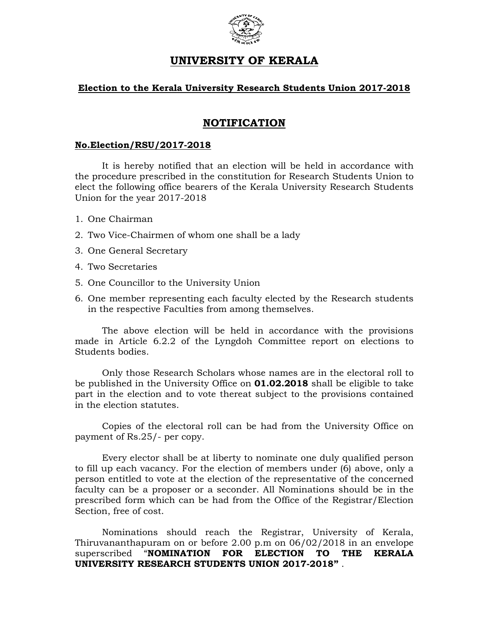

# UNIVERSITY OF KERALA

## Election to the Kerala University Research Students Union 2017-2018

## NOTIFICATION

#### No.Election/RSU/2017-2018

It is hereby notified that an election will be held in accordance with the procedure prescribed in the constitution for Research Students Union to elect the following office bearers of the Kerala University Research Students Union for the year 2017-2018

- 1. One Chairman
- 2. Two Vice-Chairmen of whom one shall be a lady
- 3. One General Secretary
- 4. Two Secretaries
- 5. One Councillor to the University Union
- 6. One member representing each faculty elected by the Research students in the respective Faculties from among themselves.

The above election will be held in accordance with the provisions made in Article 6.2.2 of the Lyngdoh Committee report on elections to Students bodies.

Only those Research Scholars whose names are in the electoral roll to be published in the University Office on **01.02.2018** shall be eligible to take part in the election and to vote thereat subject to the provisions contained in the election statutes.

Copies of the electoral roll can be had from the University Office on payment of Rs.25/- per copy.

Every elector shall be at liberty to nominate one duly qualified person to fill up each vacancy. For the election of members under (6) above, only a person entitled to vote at the election of the representative of the concerned faculty can be a proposer or a seconder. All Nominations should be in the prescribed form which can be had from the Office of the Registrar/Election Section, free of cost.

Nominations should reach the Registrar, University of Kerala, Thiruvananthapuram on or before 2.00 p.m on 06/02/2018 in an envelope superscribed "NOMINATION FOR ELECTION TO THE KERALA UNIVERSITY RESEARCH STUDENTS UNION 2017-2018" .